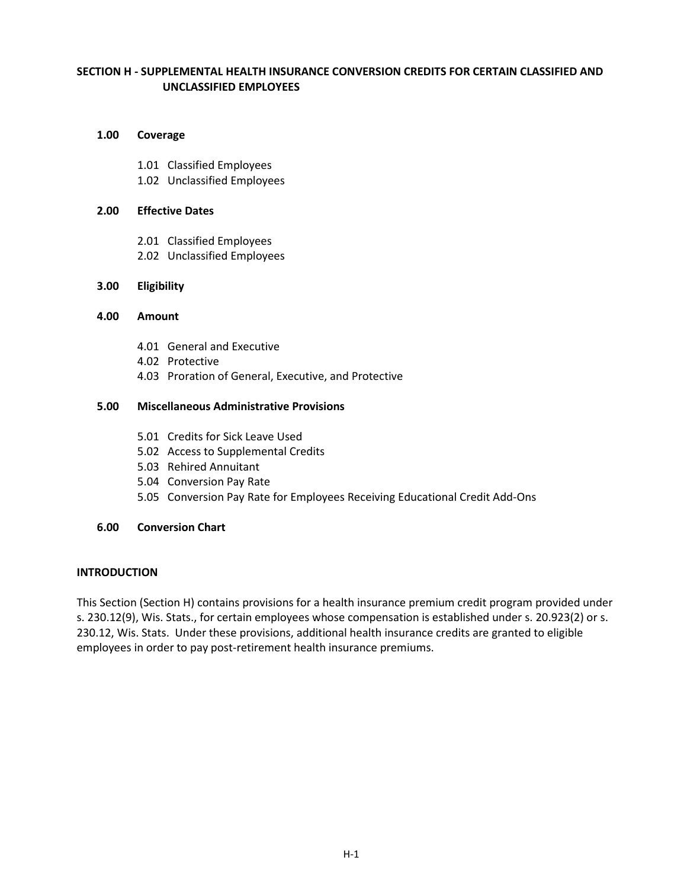# **SECTION H - SUPPLEMENTAL HEALTH INSURANCE CONVERSION CREDITS FOR CERTAIN CLASSIFIED AND UNCLASSIFIED EMPLOYEES**

### **1.00 Coverage**

- 1.01 Classified Employees
- 1.02 Unclassified Employees

## **2.00 Effective Dates**

- 2.01 Classified Employees
- 2.02 Unclassified Employees

# **3.00 Eligibility**

### **4.00 Amount**

- 4.01 General and Executive
- 4.02 Protective
- 4.03 Proration of General, Executive, and Protective

# **5.00 Miscellaneous Administrative Provisions**

- 5.01 Credits for Sick Leave Used
- 5.02 Access to Supplemental Credits
- 5.03 Rehired Annuitant
- 5.04 Conversion Pay Rate
- 5.05 Conversion Pay Rate for Employees Receiving Educational Credit Add-Ons

# **6.00 Conversion Chart**

# **INTRODUCTION**

This Section (Section H) contains provisions for a health insurance premium credit program provided under s. 230.12(9), Wis. Stats., for certain employees whose compensation is established under s. 20.923(2) or s. 230.12, Wis. Stats. Under these provisions, additional health insurance credits are granted to eligible employees in order to pay post-retirement health insurance premiums.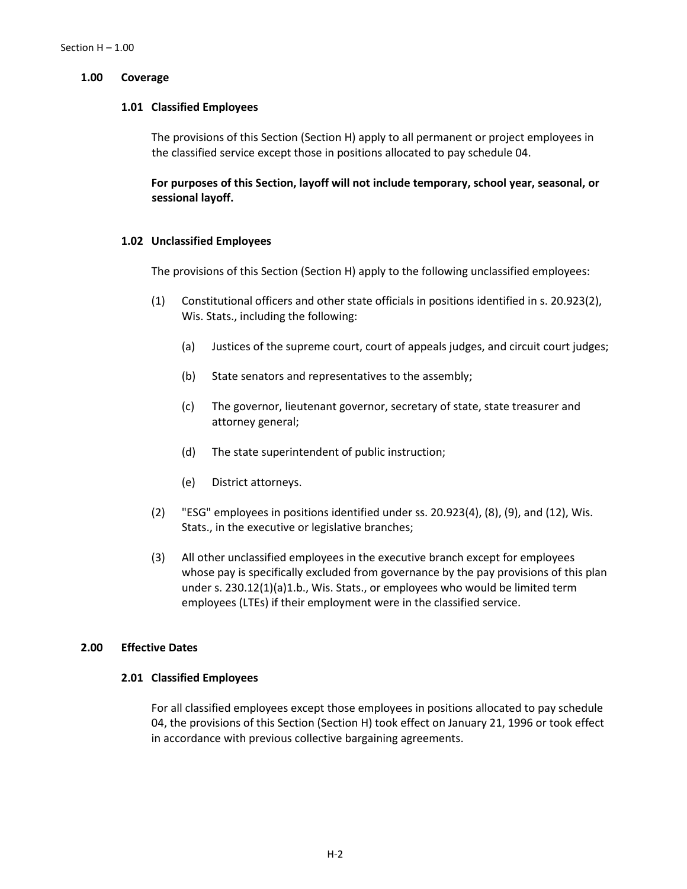#### **1.00 Coverage**

#### **1.01 Classified Employees**

The provisions of this Section (Section H) apply to all permanent or project employees in the classified service except those in positions allocated to pay schedule 04.

**For purposes of this Section, layoff will not include temporary, school year, seasonal, or sessional layoff.**

#### **1.02 Unclassified Employees**

The provisions of this Section (Section H) apply to the following unclassified employees:

- (1) Constitutional officers and other state officials in positions identified in s. 20.923(2), Wis. Stats., including the following:
	- (a) Justices of the supreme court, court of appeals judges, and circuit court judges;
	- (b) State senators and representatives to the assembly;
	- (c) The governor, lieutenant governor, secretary of state, state treasurer and attorney general;
	- (d) The state superintendent of public instruction;
	- (e) District attorneys.
- (2) "ESG" employees in positions identified under ss. 20.923(4), (8), (9), and (12), Wis. Stats., in the executive or legislative branches;
- (3) All other unclassified employees in the executive branch except for employees whose pay is specifically excluded from governance by the pay provisions of this plan under s. 230.12(1)(a)1.b., Wis. Stats., or employees who would be limited term employees (LTEs) if their employment were in the classified service.

### **2.00 Effective Dates**

#### **2.01 Classified Employees**

For all classified employees except those employees in positions allocated to pay schedule 04, the provisions of this Section (Section H) took effect on January 21, 1996 or took effect in accordance with previous collective bargaining agreements.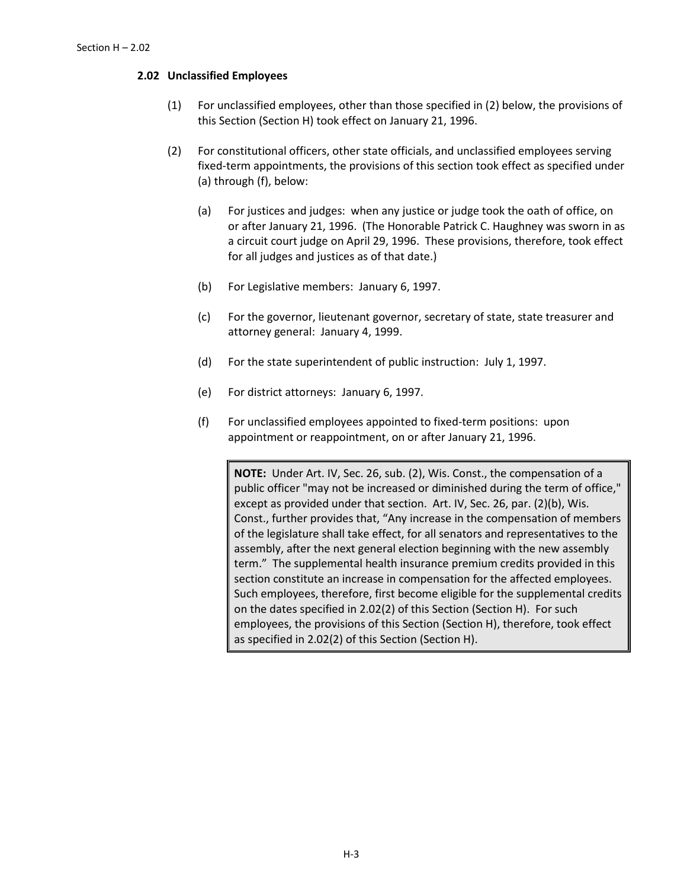## **2.02 Unclassified Employees**

- (1) For unclassified employees, other than those specified in (2) below, the provisions of this Section (Section H) took effect on January 21, 1996.
- (2) For constitutional officers, other state officials, and unclassified employees serving fixed-term appointments, the provisions of this section took effect as specified under (a) through (f), below:
	- (a) For justices and judges: when any justice or judge took the oath of office, on or after January 21, 1996. (The Honorable Patrick C. Haughney was sworn in as a circuit court judge on April 29, 1996. These provisions, therefore, took effect for all judges and justices as of that date.)
	- (b) For Legislative members: January 6, 1997.
	- (c) For the governor, lieutenant governor, secretary of state, state treasurer and attorney general: January 4, 1999.
	- (d) For the state superintendent of public instruction: July 1, 1997.
	- (e) For district attorneys: January 6, 1997.
	- (f) For unclassified employees appointed to fixed-term positions: upon appointment or reappointment, on or after January 21, 1996.

**NOTE:** Under Art. IV, Sec. 26, sub. (2), Wis. Const., the compensation of a public officer "may not be increased or diminished during the term of office," except as provided under that section. Art. IV, Sec. 26, par. (2)(b), Wis. Const., further provides that, "Any increase in the compensation of members of the legislature shall take effect, for all senators and representatives to the assembly, after the next general election beginning with the new assembly term." The supplemental health insurance premium credits provided in this section constitute an increase in compensation for the affected employees. Such employees, therefore, first become eligible for the supplemental credits on the dates specified in 2.02(2) of this Section (Section H). For such employees, the provisions of this Section (Section H), therefore, took effect as specified in 2.02(2) of this Section (Section H).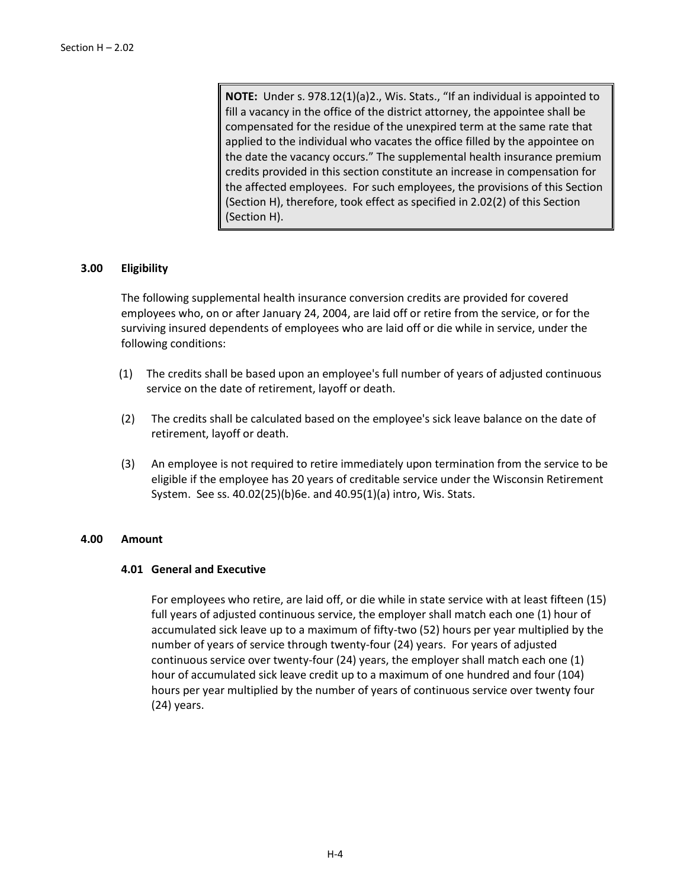**NOTE:** Under s. 978.12(1)(a)2., Wis. Stats., "If an individual is appointed to fill a vacancy in the office of the district attorney, the appointee shall be compensated for the residue of the unexpired term at the same rate that applied to the individual who vacates the office filled by the appointee on the date the vacancy occurs." The supplemental health insurance premium credits provided in this section constitute an increase in compensation for the affected employees. For such employees, the provisions of this Section (Section H), therefore, took effect as specified in 2.02(2) of this Section (Section H).

# **3.00 Eligibility**

The following supplemental health insurance conversion credits are provided for covered employees who, on or after January 24, 2004, are laid off or retire from the service, or for the surviving insured dependents of employees who are laid off or die while in service, under the following conditions:

- (1) The credits shall be based upon an employee's full number of years of adjusted continuous service on the date of retirement, layoff or death.
- (2) The credits shall be calculated based on the employee's sick leave balance on the date of retirement, layoff or death.
- (3) An employee is not required to retire immediately upon termination from the service to be eligible if the employee has 20 years of creditable service under the Wisconsin Retirement System. See ss. 40.02(25)(b)6e. and 40.95(1)(a) intro, Wis. Stats.

# **4.00 Amount**

#### **4.01 General and Executive**

For employees who retire, are laid off, or die while in state service with at least fifteen (15) full years of adjusted continuous service, the employer shall match each one (1) hour of accumulated sick leave up to a maximum of fifty-two (52) hours per year multiplied by the number of years of service through twenty-four (24) years. For years of adjusted continuous service over twenty-four (24) years, the employer shall match each one (1) hour of accumulated sick leave credit up to a maximum of one hundred and four (104) hours per year multiplied by the number of years of continuous service over twenty four (24) years.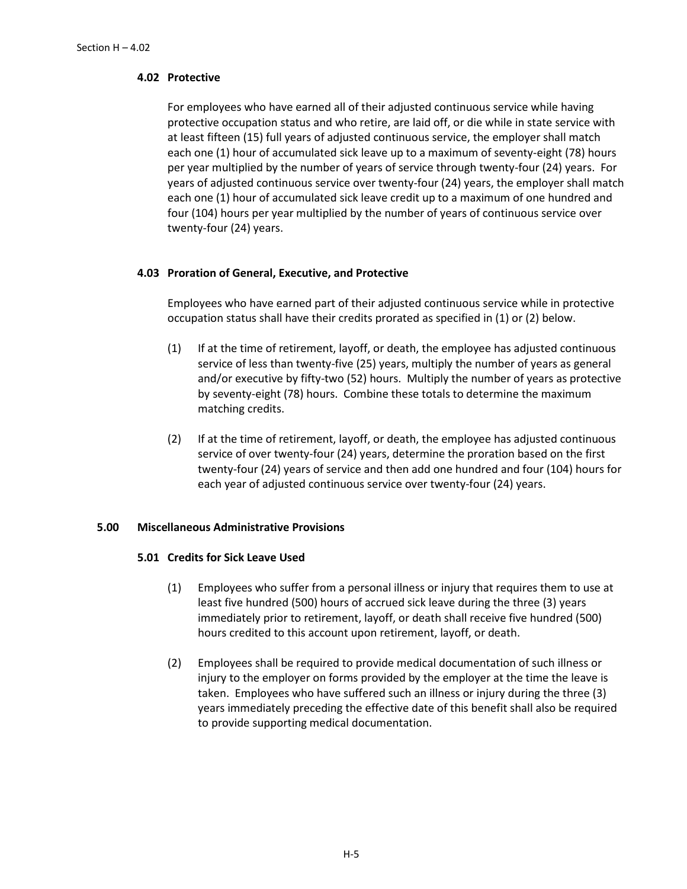# **4.02 Protective**

For employees who have earned all of their adjusted continuous service while having protective occupation status and who retire, are laid off, or die while in state service with at least fifteen (15) full years of adjusted continuous service, the employer shall match each one (1) hour of accumulated sick leave up to a maximum of seventy-eight (78) hours per year multiplied by the number of years of service through twenty-four (24) years. For years of adjusted continuous service over twenty-four (24) years, the employer shall match each one (1) hour of accumulated sick leave credit up to a maximum of one hundred and four (104) hours per year multiplied by the number of years of continuous service over twenty-four (24) years.

# **4.03 Proration of General, Executive, and Protective**

Employees who have earned part of their adjusted continuous service while in protective occupation status shall have their credits prorated as specified in (1) or (2) below.

- (1) If at the time of retirement, layoff, or death, the employee has adjusted continuous service of less than twenty-five (25) years, multiply the number of years as general and/or executive by fifty-two (52) hours. Multiply the number of years as protective by seventy-eight (78) hours. Combine these totals to determine the maximum matching credits.
- (2) If at the time of retirement, layoff, or death, the employee has adjusted continuous service of over twenty-four (24) years, determine the proration based on the first twenty-four (24) years of service and then add one hundred and four (104) hours for each year of adjusted continuous service over twenty-four (24) years.

# **5.00 Miscellaneous Administrative Provisions**

# **5.01 Credits for Sick Leave Used**

- (1) Employees who suffer from a personal illness or injury that requires them to use at least five hundred (500) hours of accrued sick leave during the three (3) years immediately prior to retirement, layoff, or death shall receive five hundred (500) hours credited to this account upon retirement, layoff, or death.
- (2) Employees shall be required to provide medical documentation of such illness or injury to the employer on forms provided by the employer at the time the leave is taken. Employees who have suffered such an illness or injury during the three (3) years immediately preceding the effective date of this benefit shall also be required to provide supporting medical documentation.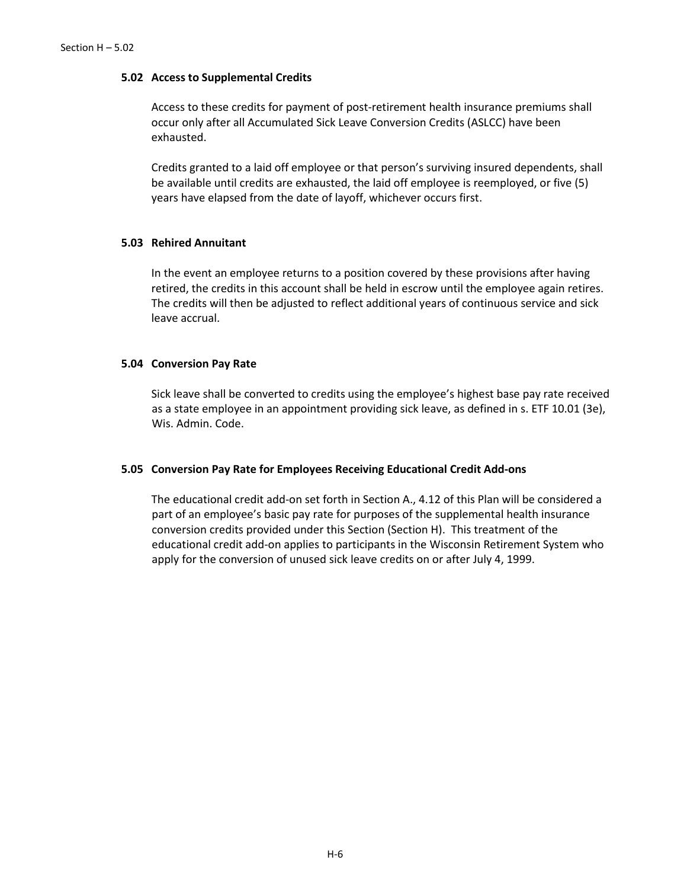#### **5.02 Access to Supplemental Credits**

Access to these credits for payment of post-retirement health insurance premiums shall occur only after all Accumulated Sick Leave Conversion Credits (ASLCC) have been exhausted.

Credits granted to a laid off employee or that person's surviving insured dependents, shall be available until credits are exhausted, the laid off employee is reemployed, or five (5) years have elapsed from the date of layoff, whichever occurs first.

#### **5.03 Rehired Annuitant**

In the event an employee returns to a position covered by these provisions after having retired, the credits in this account shall be held in escrow until the employee again retires. The credits will then be adjusted to reflect additional years of continuous service and sick leave accrual.

### **5.04 Conversion Pay Rate**

Sick leave shall be converted to credits using the employee's highest base pay rate received as a state employee in an appointment providing sick leave, as defined in s. ETF 10.01 (3e), Wis. Admin. Code.

#### **5.05 Conversion Pay Rate for Employees Receiving Educational Credit Add-ons**

The educational credit add-on set forth in Section A., 4.12 of this Plan will be considered a part of an employee's basic pay rate for purposes of the supplemental health insurance conversion credits provided under this Section (Section H). This treatment of the educational credit add-on applies to participants in the Wisconsin Retirement System who apply for the conversion of unused sick leave credits on or after July 4, 1999.